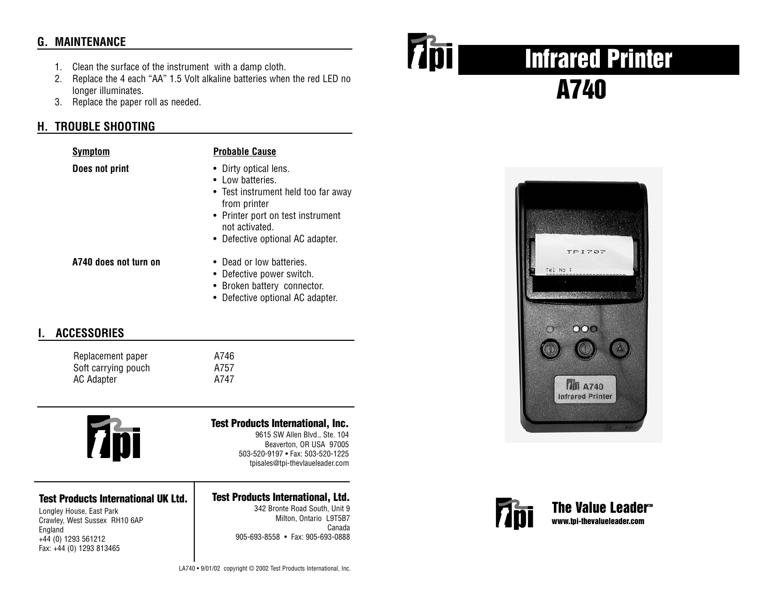# **G. MAINTENANCE**

- 1. Clean the surface of the instrument with a damp cloth.
- 2. Replace the 4 each "AA" 1.5 Volt alkaline batteries when the red LED no longer illuminates.
- 3. Replace the paper roll as needed.

# **H. TROUBLE SHOOTING**

| • Dirty optical lens.<br>• Low batteries.<br>• Test instrument held too far away<br>from printer<br>• Printer port on test instrument<br>not activated. |
|---------------------------------------------------------------------------------------------------------------------------------------------------------|
|                                                                                                                                                         |

- 
- **A740 does not turn on** Dead or low batteries.
	- Defective power switch.
	- Broken battery connector.
	- Defective optional AC adapter.

• Defective optional AC adapter.

## **I. ACCESSORIES**

Replacement paper Soft carrying pouch AC Adapter A747

| 746            |
|----------------|
| 7 <sub>5</sub> |
| $\mathbf{z}$   |



#### **Test Products International UK Ltd.**

Longley House, East Park Crawley, West Sussex RH10 6AP England +44 (0) 1293 561212 Fax: +44 (0) 1293 813465

### **Test Products International, Inc.** 9615 SW Allen Blvd., Ste. 104

Beaverton, OR USA 97005 503-520-9197 • Fax: 503-520-1225 tpisales@tpi-thevlaueleader.com

#### **Test Products International, Ltd.**

342 Bronte Road South, Unit 9 Milton, Ontario L9T5B7 Canada 905-693-8558 • Fax: 905-693-0888



# **Infrared Printer A740**





**The Value Leader<sup>™</sup> www.tpi-thevalueleader.com**